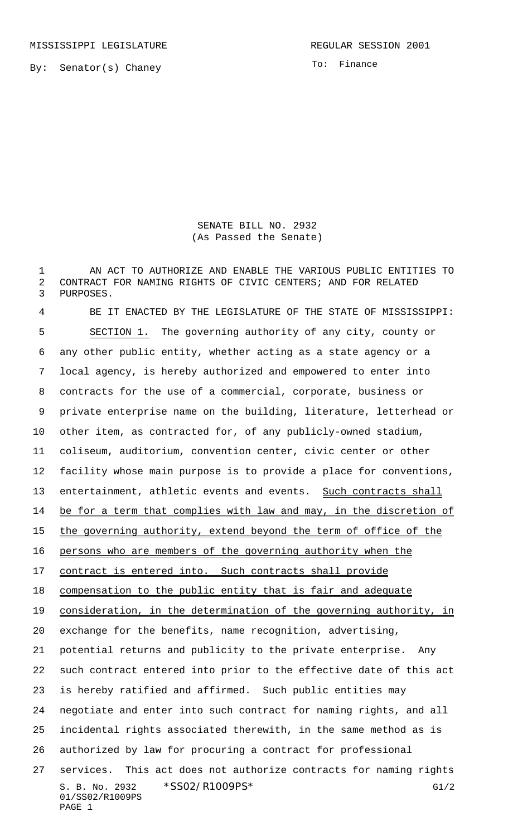MISSISSIPPI LEGISLATURE **REGULAR SESSION 2001** 

By: Senator(s) Chaney

To: Finance

SENATE BILL NO. 2932 (As Passed the Senate)

1 AN ACT TO AUTHORIZE AND ENABLE THE VARIOUS PUBLIC ENTITIES TO 2 CONTRACT FOR NAMING RIGHTS OF CIVIC CENTERS; AND FOR RELATED 3 PURPOSES.

S. B. No. 2932 \* SS02/R1009PS\* G1/2 01/SS02/R1009PS PAGE 1 BE IT ENACTED BY THE LEGISLATURE OF THE STATE OF MISSISSIPPI: SECTION 1. The governing authority of any city, county or any other public entity, whether acting as a state agency or a local agency, is hereby authorized and empowered to enter into contracts for the use of a commercial, corporate, business or private enterprise name on the building, literature, letterhead or other item, as contracted for, of any publicly-owned stadium, coliseum, auditorium, convention center, civic center or other facility whose main purpose is to provide a place for conventions, 13 entertainment, athletic events and events. Such contracts shall 14 be for a term that complies with law and may, in the discretion of 15 the governing authority, extend beyond the term of office of the 16 persons who are members of the governing authority when the 17 contract is entered into. Such contracts shall provide 18 compensation to the public entity that is fair and adequate 19 consideration, in the determination of the governing authority, in exchange for the benefits, name recognition, advertising, potential returns and publicity to the private enterprise. Any such contract entered into prior to the effective date of this act is hereby ratified and affirmed. Such public entities may negotiate and enter into such contract for naming rights, and all incidental rights associated therewith, in the same method as is authorized by law for procuring a contract for professional services. This act does not authorize contracts for naming rights